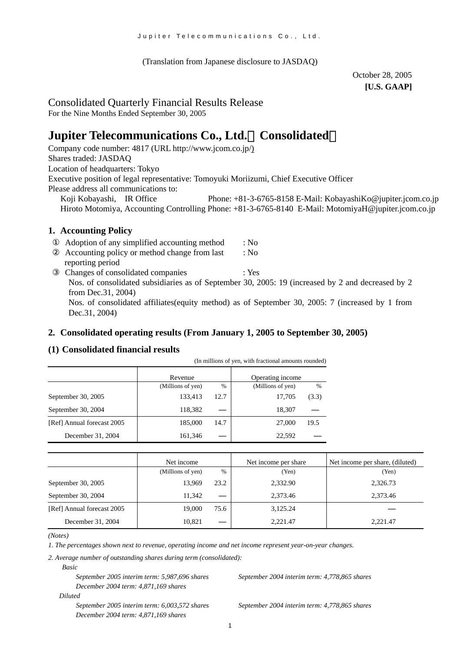(Translation from Japanese disclosure to JASDAQ)

October 28, 2005 **[U.S. GAAP]** 

# Consolidated Quarterly Financial Results Release

For the Nine Months Ended September 30, 2005

# **Jupiter Telecommunications Co., Ltd.**(**Consolidated**)

Company code number: 4817 (URL [http://www.jcom.co.jp/](http://www.jcomxxxxxxxxx.co.jp/)) Shares traded: JASDAQ Location of headquarters: Tokyo Executive position of legal representative: Tomoyuki Moriizumi, Chief Executive Officer Please address all communications to: Koji Kobayashi, IR Office Phone: +81-3-6765-8158 E-Mail: [KobayashiKo@jupiter.jcom.co.jp](mailto:KobayashiKo@jupiter.jcom.co.jp) Hiroto Motomiya, Accounting Controlling Phone: +81-3-6765-8140 E-Mail: MotomiyaH@jupiter.jcom.co.jp

# **1. Accounting Policy**

Adoption of any simplified accounting method : No Accounting policy or method change from last : No reporting period Changes of consolidated companies : Yes Nos. of consolidated subsidiaries as of September 30, 2005: 19 (increased by 2 and decreased by 2 from Dec.31, 2004) Nos. of consolidated affiliates(equity method) as of September 30, 2005: 7 (increased by 1 from Dec.31, 2004)

### **2. Consolidated operating results (From January 1, 2005 to September 30, 2005)**

# **(1) Consolidated financial results**

|                            | (In millions of yen, with fractional amounts rounded) |               |                   |       |  |
|----------------------------|-------------------------------------------------------|---------------|-------------------|-------|--|
|                            | Revenue                                               |               | Operating income  |       |  |
|                            | (Millions of yen)                                     | $\frac{0}{0}$ | (Millions of yen) | %     |  |
| September 30, 2005         | 133,413                                               | 12.7          | 17,705            | (3.3) |  |
| September 30, 2004         | 118,382                                               |               | 18,307            |       |  |
| [Ref] Annual forecast 2005 | 185,000                                               | 14.7          | 27,000            | 19.5  |  |
| December 31, 2004          | 161,346                                               |               | 22,592            |       |  |

|                            | Net income        |      | Net income per share | Net income per share, (diluted) |
|----------------------------|-------------------|------|----------------------|---------------------------------|
|                            | (Millions of yen) | $\%$ | (Yen)                | (Yen)                           |
| September 30, 2005         | 13.969            | 23.2 | 2,332.90             | 2,326.73                        |
| September 30, 2004         | 11.342            |      | 2.373.46             | 2,373.46                        |
| [Ref] Annual forecast 2005 | 19.000            | 75.6 | 3,125.24             |                                 |
| December 31, 2004          | 10.821            |      | 2,221.47             | 2.221.47                        |

*(Notes)* 

*1. The percentages shown next to revenue, operating income and net income represent year-on-year changes.*

*2. Average number of outstanding shares during term (consolidated):*

*Basic* 

*September 2005 interim term: 5,987,696 shares September 2004 interim term: 4,778,865 shares December 2004 term: 4,871,169 shares* 

 *Diluted* 

*September 2005 interim term: 6,003,572 shares September 2004 interim term: 4,778,865 shares December 2004 term: 4,871,169 shares*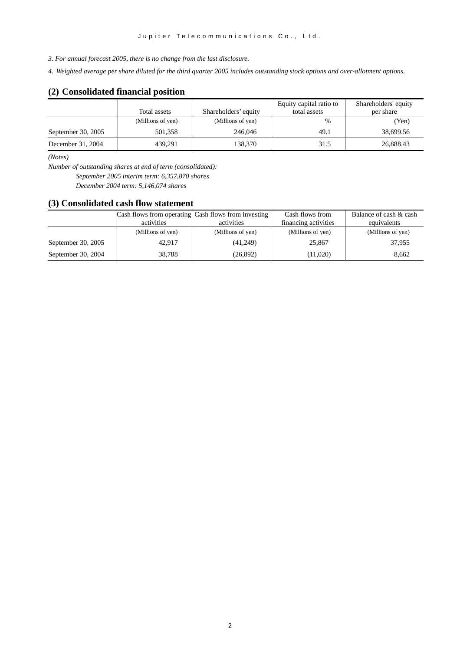*3. For annual forecast 2005, there is no change from the last disclosure.* 

*4. Weighted average per share diluted for the third quarter 2005 includes outstanding stock options and over-allotment options.*

### **(2) Consolidated financial position**

|                    |                   |                      | Equity capital ratio to | Shareholders' equity |
|--------------------|-------------------|----------------------|-------------------------|----------------------|
|                    | Total assets      | Shareholders' equity | total assets            | per share            |
|                    | (Millions of yen) | (Millions of yen)    | $\frac{0}{0}$           | (Yen)                |
| September 30, 2005 | 501.358           | 246,046              | 49.1                    | 38,699.56            |
| December 31, 2004  | 439.291           | 138.370              | 31.5                    | 26,888.43            |

*(Notes)* 

*Number of outstanding shares at end of term (consolidated): September 2005 interim term: 6,357,870 shares December 2004 term: 5,146,074 shares*

#### **(3) Consolidated cash flow statement**

|                    |                   | Cash flows from operating Cash flows from investing | Cash flows from      | Balance of cash & cash |
|--------------------|-------------------|-----------------------------------------------------|----------------------|------------------------|
|                    | activities        | activities                                          | financing activities | equivalents            |
|                    | (Millions of yen) | (Millions of yen)                                   | (Millions of yen)    | (Millions of yen)      |
| September 30, 2005 | 42.917            | (41,249)                                            | 25,867               | 37.955                 |
| September 30, 2004 | 38,788            | (26, 892)                                           | (11,020)             | 8.662                  |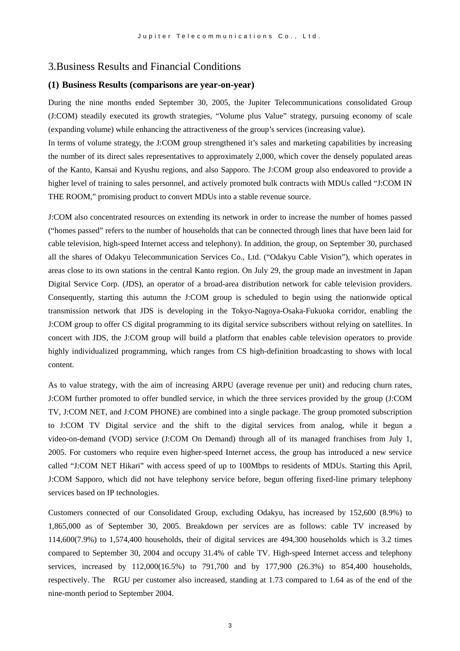# 3.Business Results and Financial Conditions

#### **(1) Business Results (comparisons are year-on-year)**

During the nine months ended September 30, 2005, the Jupiter Telecommunications consolidated Group (J:COM) steadily executed its growth strategies, "Volume plus Value" strategy, pursuing economy of scale (expanding volume) while enhancing the attractiveness of the group's services (increasing value).

In terms of volume strategy, the J:COM group strengthened it's sales and marketing capabilities by increasing the number of its direct sales representatives to approximately 2,000, which cover the densely populated areas of the Kanto, Kansai and Kyushu regions, and also Sapporo. The J:COM group also endeavored to provide a higher level of training to sales personnel, and actively promoted bulk contracts with MDUs called "J:COM IN THE ROOM," promising product to convert MDUs into a stable revenue source.

J:COM also concentrated resources on extending its network in order to increase the number of homes passed ("homes passed" refers to the number of households that can be connected through lines that have been laid for cable television, high-speed Internet access and telephony). In addition, the group, on September 30, purchased all the shares of Odakyu Telecommunication Services Co., Ltd. ("Odakyu Cable Vision"), which operates in areas close to its own stations in the central Kanto region. On July 29, the group made an investment in Japan Digital Service Corp. (JDS), an operator of a broad-area distribution network for cable television providers. Consequently, starting this autumn the J:COM group is scheduled to begin using the nationwide optical transmission network that JDS is developing in the Tokyo-Nagoya-Osaka-Fukuoka corridor, enabling the J:COM group to offer CS digital programming to its digital service subscribers without relying on satellites. In concert with JDS, the J:COM group will build a platform that enables cable television operators to provide highly individualized programming, which ranges from CS high-definition broadcasting to shows with local content.

As to value strategy, with the aim of increasing ARPU (average revenue per unit) and reducing churn rates, J:COM further promoted to offer bundled service, in which the three services provided by the group (J:COM TV, J:COM NET, and J:COM PHONE) are combined into a single package. The group promoted subscription to J:COM TV Digital service and the shift to the digital services from analog, while it begun a video-on-demand (VOD) service (J:COM On Demand) through all of its managed franchises from July 1, 2005. For customers who require even higher-speed Internet access, the group has introduced a new service called "J:COM NET Hikari" with access speed of up to 100Mbps to residents of MDUs. Starting this April, J:COM Sapporo, which did not have telephony service before, begun offering fixed-line primary telephony services based on IP technologies.

Customers connected of our Consolidated Group, excluding Odakyu, has increased by 152,600 (8.9%) to 1,865,000 as of September 30, 2005. Breakdown per services are as follows: cable TV increased by 114,600(7.9%) to 1,574,400 households, their of digital services are 494,300 households which is 3.2 times compared to September 30, 2004 and occupy 31.4% of cable TV. High-speed Internet access and telephony services, increased by 112,000(16.5%) to 791,700 and by 177,900 (26.3%) to 854,400 households, respectively. The RGU per customer also increased, standing at 1.73 compared to 1.64 as of the end of the nine-month period to September 2004.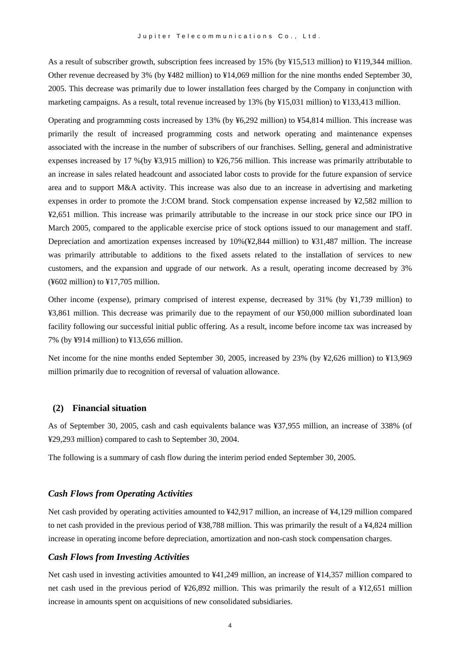As a result of subscriber growth, subscription fees increased by 15% (by ¥15,513 million) to ¥119,344 million. Other revenue decreased by 3% (by ¥482 million) to ¥14,069 million for the nine months ended September 30, 2005. This decrease was primarily due to lower installation fees charged by the Company in conjunction with marketing campaigns. As a result, total revenue increased by 13% (by ¥15,031 million) to ¥133,413 million.

Operating and programming costs increased by 13% (by ¥6,292 million) to ¥54,814 million. This increase was primarily the result of increased programming costs and network operating and maintenance expenses associated with the increase in the number of subscribers of our franchises. Selling, general and administrative expenses increased by 17 %(by ¥3,915 million) to ¥26,756 million. This increase was primarily attributable to an increase in sales related headcount and associated labor costs to provide for the future expansion of service area and to support M&A activity. This increase was also due to an increase in advertising and marketing expenses in order to promote the J:COM brand. Stock compensation expense increased by ¥2,582 million to ¥2,651 million. This increase was primarily attributable to the increase in our stock price since our IPO in March 2005, compared to the applicable exercise price of stock options issued to our management and staff. Depreciation and amortization expenses increased by 10%(¥2,844 million) to ¥31,487 million. The increase was primarily attributable to additions to the fixed assets related to the installation of services to new customers, and the expansion and upgrade of our network. As a result, operating income decreased by 3%  $(\text{\textless*}602 \text{ million})$  to  $\text{\textless*}17,705 \text{ million}$ .

Other income (expense), primary comprised of interest expense, decreased by 31% (by ¥1,739 million) to ¥3,861 million. This decrease was primarily due to the repayment of our ¥50,000 million subordinated loan facility following our successful initial public offering. As a result, income before income tax was increased by 7% (by ¥914 million) to ¥13,656 million.

Net income for the nine months ended September 30, 2005, increased by 23% (by ¥2,626 million) to ¥13,969 million primarily due to recognition of reversal of valuation allowance.

#### **(2) Financial situation**

As of September 30, 2005, cash and cash equivalents balance was ¥37,955 million, an increase of 338% (of ¥29,293 million) compared to cash to September 30, 2004.

The following is a summary of cash flow during the interim period ended September 30, 2005.

#### *Cash Flows from Operating Activities*

Net cash provided by operating activities amounted to ¥42,917 million, an increase of ¥4,129 million compared to net cash provided in the previous period of ¥38,788 million. This was primarily the result of a ¥4,824 million increase in operating income before depreciation, amortization and non-cash stock compensation charges.

#### *Cash Flows from Investing Activities*

Net cash used in investing activities amounted to ¥41,249 million, an increase of ¥14,357 million compared to net cash used in the previous period of ¥26,892 million. This was primarily the result of a ¥12,651 million increase in amounts spent on acquisitions of new consolidated subsidiaries.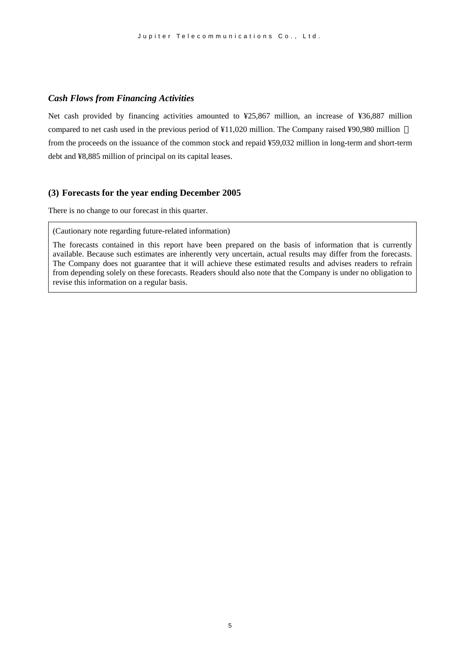#### *Cash Flows from Financing Activities*

Net cash provided by financing activities amounted to ¥25,867 million, an increase of ¥36,887 million compared to net cash used in the previous period of ¥11,020 million. The Company raised ¥90,980 million from the proceeds on the issuance of the common stock and repaid ¥59,032 million in long-term and short-term debt and ¥8,885 million of principal on its capital leases.

#### **(3) Forecasts for the year ending December 2005**

There is no change to our forecast in this quarter.

(Cautionary note regarding future-related information)

The forecasts contained in this report have been prepared on the basis of information that is currently available. Because such estimates are inherently very uncertain, actual results may differ from the forecasts. The Company does not guarantee that it will achieve these estimated results and advises readers to refrain from depending solely on these forecasts. Readers should also note that the Company is under no obligation to revise this information on a regular basis.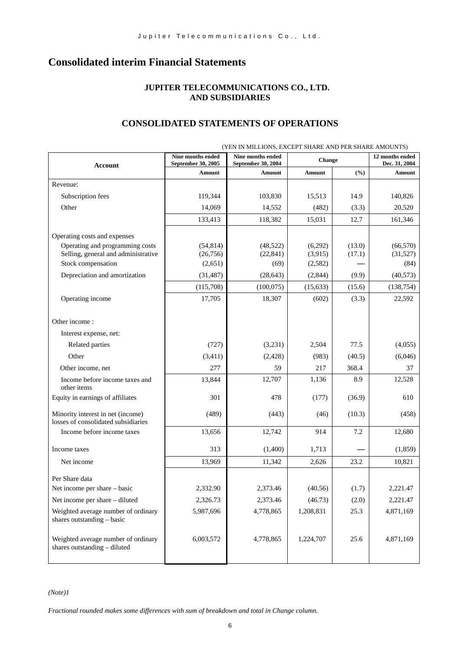# **Consolidated interim Financial Statements**

### **JUPITER TELECOMMUNICATIONS CO., LTD. AND SUBSIDIARIES**

### **CONSOLIDATED STATEMENTS OF OPERATIONS**

|                                                                          | Nine months ended            | (TEN IN MILLIONS, EACEPT SHAKE AND PER SHAKE AMOUNTS)<br>Nine months ended | <b>Change</b> |        | 12 months ended         |  |
|--------------------------------------------------------------------------|------------------------------|----------------------------------------------------------------------------|---------------|--------|-------------------------|--|
| Account                                                                  | September 30, 2005<br>Amount | September 30, 2004<br>Amount                                               | Amount        | (%)    | Dec. 31, 2004<br>Amount |  |
| Revenue:                                                                 |                              |                                                                            |               |        |                         |  |
| Subscription fees                                                        | 119,344                      | 103,830                                                                    | 15,513        | 14.9   | 140,826                 |  |
| Other                                                                    | 14,069                       | 14,552                                                                     | (482)         | (3.3)  | 20,520                  |  |
|                                                                          | 133,413                      | 118,382                                                                    | 15,031        | 12.7   | 161,346                 |  |
| Operating costs and expenses                                             |                              |                                                                            |               |        |                         |  |
| Operating and programming costs                                          | (54, 814)                    | (48, 522)                                                                  | (6,292)       | (13.0) | (66, 570)               |  |
| Selling, general and administrative                                      | (26,756)                     | (22, 841)                                                                  | (3,915)       | (17.1) | (31,527)                |  |
| Stock compensation                                                       | (2,651)                      | (69)                                                                       | (2,582)       |        | (84)                    |  |
| Depreciation and amortization                                            | (31, 487)                    | (28, 643)                                                                  | (2,844)       | (9.9)  | (40, 573)               |  |
|                                                                          | (115,708)                    | (100,075)                                                                  | (15, 633)     | (15.6) | (138, 754)              |  |
| Operating income                                                         | 17,705                       | 18,307                                                                     | (602)         | (3.3)  | 22,592                  |  |
|                                                                          |                              |                                                                            |               |        |                         |  |
| Other income:                                                            |                              |                                                                            |               |        |                         |  |
| Interest expense, net:                                                   |                              |                                                                            |               |        |                         |  |
| Related parties                                                          | (727)                        | (3,231)                                                                    | 2,504         | 77.5   | (4,055)                 |  |
| Other                                                                    | (3,411)                      | (2,428)                                                                    | (983)         | (40.5) | (6,046)                 |  |
| Other income, net                                                        | 277                          | 59                                                                         | 217           | 368.4  | 37                      |  |
| Income before income taxes and<br>other items                            | 13,844                       | 12,707                                                                     | 1,136         | 8.9    | 12,528                  |  |
| Equity in earnings of affiliates                                         | 301                          | 478                                                                        | (177)         | (36.9) | 610                     |  |
| Minority interest in net (income)<br>losses of consolidated subsidiaries | (489)                        | (443)                                                                      | (46)          | (10.3) | (458)                   |  |
| Income before income taxes                                               | 13,656                       | 12,742                                                                     | 914           | 7.2    | 12,680                  |  |
| Income taxes                                                             | 313                          | (1,400)                                                                    | 1,713         |        | (1,859)                 |  |
| Net income                                                               | 13,969                       | 11,342                                                                     | 2,626         | 23.2   | 10,821                  |  |
| Per Share data                                                           |                              |                                                                            |               |        |                         |  |
| Net income per share – basic                                             | 2,332.90                     | 2,373.46                                                                   | (40.56)       | (1.7)  | 2,221.47                |  |
| Net income per share - diluted                                           | 2,326.73                     | 2,373.46                                                                   | (46.73)       | (2.0)  | 2,221.47                |  |
| Weighted average number of ordinary<br>shares outstanding - basic        | 5,987,696                    | 4,778,865                                                                  | 1,208,831     | 25.3   | 4,871,169               |  |
| Weighted average number of ordinary<br>shares outstanding - diluted      | 6,003,572                    | 4,778,865                                                                  | 1,224,707     | 25.6   | 4,871,169               |  |

(YEN IN MILLIONS, EXCEPT SHARE AND PER SHARE AMOUNTS)

*(Note)1* 

*Fractional rounded makes some differences with sum of breakdown and total in Change column.*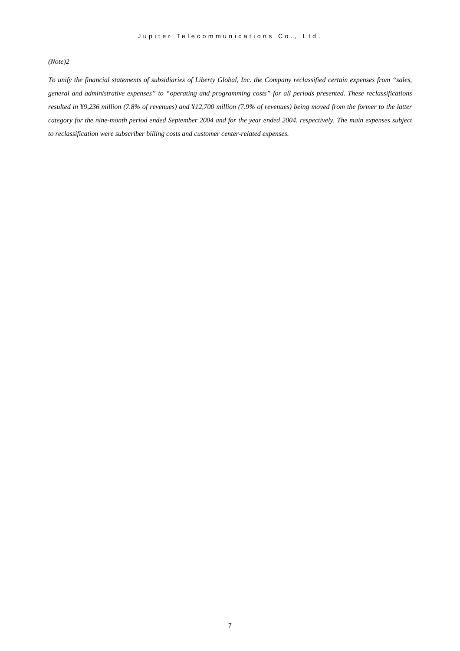#### *(Note)2*

*To unify the financial statements of subsidiaries of Liberty Global, Inc. the Company reclassified certain expenses from "sales, general and administrative expenses" to "operating and programming costs" for all periods presented. These reclassifications resulted in* ¥*9,236 million (7.8% of revenues) and* ¥*12,700 million (7.9% of revenues) being moved from the former to the latter category for the nine-month period ended September 2004 and for the year ended 2004, respectively. The main expenses subject to reclassification were subscriber billing costs and customer center-related expenses.*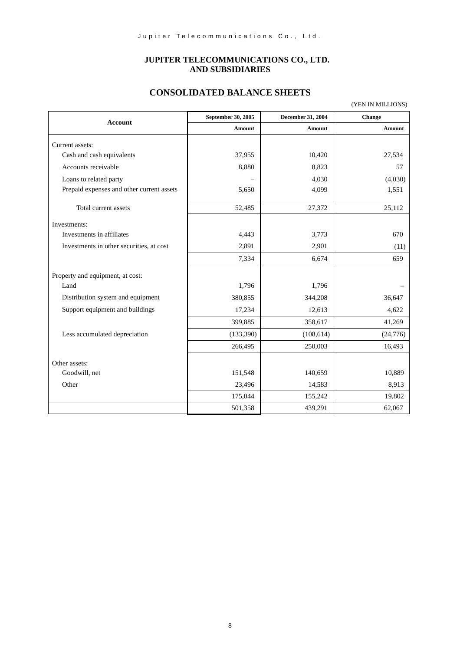# **JUPITER TELECOMMUNICATIONS CO., LTD. AND SUBSIDIARIES**

# **CONSOLIDATED BALANCE SHEETS**

|                                           | September 30, 2005 | December 31, 2004 | Change        |
|-------------------------------------------|--------------------|-------------------|---------------|
| Account                                   | <b>Amount</b>      | <b>Amount</b>     | <b>Amount</b> |
| Current assets:                           |                    |                   |               |
| Cash and cash equivalents                 | 37,955             | 10,420            | 27,534        |
| Accounts receivable                       | 8,880              | 8,823             | 57            |
| Loans to related party                    |                    | 4,030             | (4,030)       |
| Prepaid expenses and other current assets | 5,650              | 4,099             | 1,551         |
| Total current assets                      | 52,485             | 27,372            | 25,112        |
| Investments:                              |                    |                   |               |
| Investments in affiliates                 | 4,443              | 3,773             | 670           |
| Investments in other securities, at cost  | 2,891              | 2,901             | (11)          |
|                                           | 7,334              | 6,674             | 659           |
| Property and equipment, at cost:          |                    |                   |               |
| Land                                      | 1,796              | 1,796             |               |
| Distribution system and equipment         | 380,855            | 344,208           | 36,647        |
| Support equipment and buildings           | 17,234             | 12,613            | 4,622         |
|                                           | 399,885            | 358,617           | 41,269        |
| Less accumulated depreciation             | (133, 390)         | (108, 614)        | (24,776)      |
|                                           | 266,495            | 250,003           | 16,493        |
| Other assets:                             |                    |                   |               |
| Goodwill, net                             | 151,548            | 140,659           | 10,889        |
| Other                                     | 23,496             | 14,583            | 8,913         |
|                                           | 175,044            | 155,242           | 19,802        |
|                                           | 501,358            | 439,291           | 62,067        |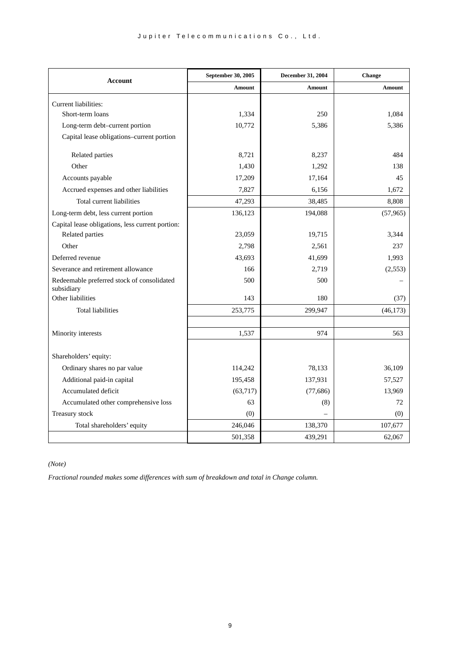| <b>Account</b>                                           | September 30, 2005 | December 31, 2004 | Change        |
|----------------------------------------------------------|--------------------|-------------------|---------------|
|                                                          | <b>Amount</b>      | <b>Amount</b>     | <b>Amount</b> |
| Current liabilities:                                     |                    |                   |               |
| Short-term loans                                         | 1,334              | 250               | 1,084         |
| Long-term debt-current portion                           | 10,772             | 5,386             | 5,386         |
| Capital lease obligations-current portion                |                    |                   |               |
|                                                          |                    |                   |               |
| Related parties                                          | 8,721              | 8,237             | 484           |
| Other                                                    | 1,430              | 1,292             | 138           |
| Accounts payable                                         | 17,209             | 17,164            | 45            |
| Accrued expenses and other liabilities                   | 7,827              | 6,156             | 1,672         |
| Total current liabilities                                | 47,293             | 38,485            | 8,808         |
| Long-term debt, less current portion                     | 136,123            | 194,088           | (57, 965)     |
| Capital lease obligations, less current portion:         |                    |                   |               |
| Related parties                                          | 23,059             | 19,715            | 3.344         |
| Other                                                    | 2,798              | 2,561             | 237           |
| Deferred revenue                                         | 43,693             | 41,699            | 1,993         |
| Severance and retirement allowance                       | 166                | 2,719             | (2,553)       |
| Redeemable preferred stock of consolidated<br>subsidiary | 500                | 500               |               |
| Other liabilities                                        | 143                | 180               | (37)          |
| <b>Total liabilities</b>                                 | 253,775            | 299,947           | (46, 173)     |
|                                                          |                    |                   |               |
| Minority interests                                       | 1,537              | 974               | 563           |
|                                                          |                    |                   |               |
| Shareholders' equity:                                    |                    |                   |               |
| Ordinary shares no par value                             | 114,242            | 78,133            | 36,109        |
| Additional paid-in capital                               | 195,458            | 137,931           | 57,527        |
| Accumulated deficit                                      | (63,717)           | (77,686)          | 13,969        |
| Accumulated other comprehensive loss                     | 63                 | (8)               | 72            |
| Treasury stock                                           | (0)                |                   | (0)           |
| Total shareholders' equity                               | 246,046            | 138,370           | 107,677       |
|                                                          | 501,358            | 439,291           | 62,067        |

*(Note)*

*Fractional rounded makes some differences with sum of breakdown and total in Change column.*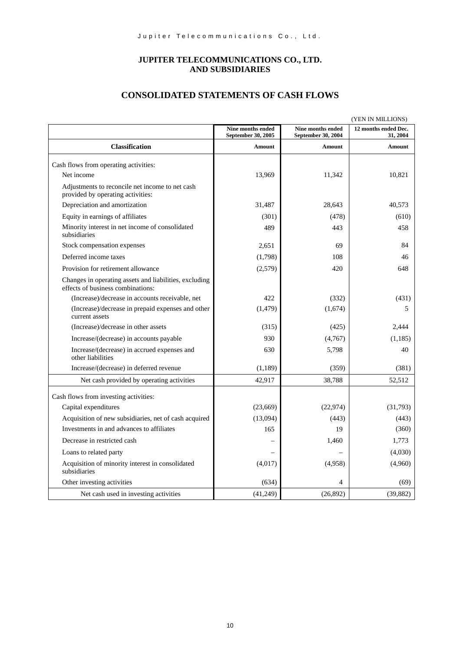# **JUPITER TELECOMMUNICATIONS CO., LTD. AND SUBSIDIARIES**

# **CONSOLIDATED STATEMENTS OF CASH FLOWS**

|                                                                                             | (YEN IN MILLIONS)                       |                                         |                                  |  |
|---------------------------------------------------------------------------------------------|-----------------------------------------|-----------------------------------------|----------------------------------|--|
|                                                                                             | Nine months ended<br>September 30, 2005 | Nine months ended<br>September 30, 2004 | 12 months ended Dec.<br>31, 2004 |  |
| <b>Classification</b>                                                                       | <b>Amount</b>                           | <b>Amount</b>                           | Amount                           |  |
| Cash flows from operating activities:                                                       |                                         |                                         |                                  |  |
| Net income                                                                                  | 13,969                                  | 11,342                                  | 10,821                           |  |
| Adjustments to reconcile net income to net cash<br>provided by operating activities:        |                                         |                                         |                                  |  |
| Depreciation and amortization                                                               | 31,487                                  | 28,643                                  | 40,573                           |  |
| Equity in earnings of affiliates                                                            | (301)                                   | (478)                                   | (610)                            |  |
| Minority interest in net income of consolidated<br>subsidiaries                             | 489                                     | 443                                     | 458                              |  |
| Stock compensation expenses                                                                 | 2,651                                   | 69                                      | 84                               |  |
| Deferred income taxes                                                                       | (1,798)                                 | 108                                     | 46                               |  |
| Provision for retirement allowance                                                          | (2,579)                                 | 420                                     | 648                              |  |
| Changes in operating assets and liabilities, excluding<br>effects of business combinations: |                                         |                                         |                                  |  |
| (Increase)/decrease in accounts receivable, net                                             | 422                                     | (332)                                   | (431)                            |  |
| (Increase)/decrease in prepaid expenses and other<br>current assets                         | (1, 479)                                | (1,674)                                 | 5                                |  |
| (Increase)/decrease in other assets                                                         | (315)                                   | (425)                                   | 2,444                            |  |
| Increase/(decrease) in accounts payable                                                     | 930                                     | (4,767)                                 | (1,185)                          |  |
| Increase/(decrease) in accrued expenses and<br>other liabilities                            | 630                                     | 5,798                                   | 40                               |  |
| Increase/(decrease) in deferred revenue                                                     | (1,189)                                 | (359)                                   | (381)                            |  |
| Net cash provided by operating activities                                                   | 42,917                                  | 38,788                                  | 52,512                           |  |
| Cash flows from investing activities:                                                       |                                         |                                         |                                  |  |
| Capital expenditures                                                                        | (23,669)                                | (22, 974)                               | (31,793)                         |  |
| Acquisition of new subsidiaries, net of cash acquired                                       | (13,094)                                | (443)                                   | (443)                            |  |
| Investments in and advances to affiliates                                                   | 165                                     | 19                                      | (360)                            |  |
| Decrease in restricted cash                                                                 |                                         | 1,460                                   | 1,773                            |  |
| Loans to related party                                                                      |                                         |                                         | (4,030)                          |  |
| Acquisition of minority interest in consolidated<br>subsidiaries                            | (4,017)                                 | (4,958)                                 | (4,960)                          |  |
| Other investing activities                                                                  | (634)                                   | $\overline{4}$                          | (69)                             |  |
| Net cash used in investing activities                                                       | (41, 249)                               | (26,892)                                | (39, 882)                        |  |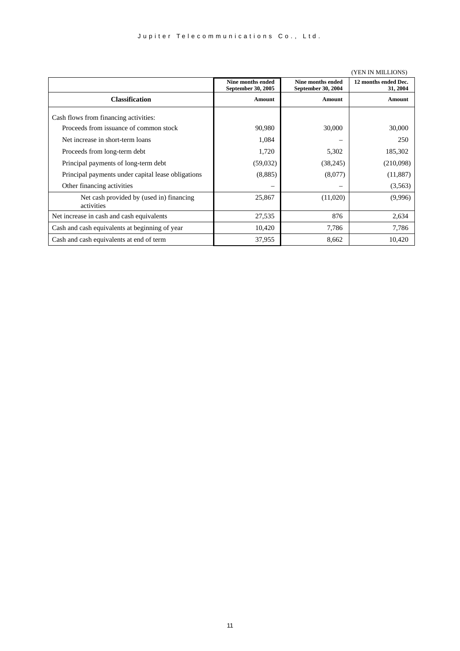|                                                        | Nine months ended<br>September 30, 2005 | Nine months ended<br>September 30, 2004 | 12 months ended Dec.<br>31, 2004 |  |
|--------------------------------------------------------|-----------------------------------------|-----------------------------------------|----------------------------------|--|
| <b>Classification</b>                                  | Amount                                  | Amount                                  | Amount                           |  |
| Cash flows from financing activities:                  |                                         |                                         |                                  |  |
| Proceeds from issuance of common stock                 | 90,980                                  | 30,000                                  | 30,000                           |  |
| Net increase in short-term loans                       | 1,084                                   |                                         | 250                              |  |
| Proceeds from long-term debt                           | 1,720                                   | 5,302                                   | 185,302                          |  |
| Principal payments of long-term debt                   | (59,032)                                | (38, 245)                               | (210,098)                        |  |
| Principal payments under capital lease obligations     | (8,885)                                 | (8,077)                                 | (11, 887)                        |  |
| Other financing activities                             |                                         |                                         | (3,563)                          |  |
| Net cash provided by (used in) financing<br>activities | 25,867                                  | (11,020)                                | (9,996)                          |  |
| Net increase in cash and cash equivalents              | 27,535                                  | 876                                     | 2,634                            |  |
| Cash and cash equivalents at beginning of year         | 10,420                                  | 7,786                                   | 7,786                            |  |
| Cash and cash equivalents at end of term               | 37,955                                  | 8,662                                   | 10,420                           |  |

(YEN IN MILLIONS)